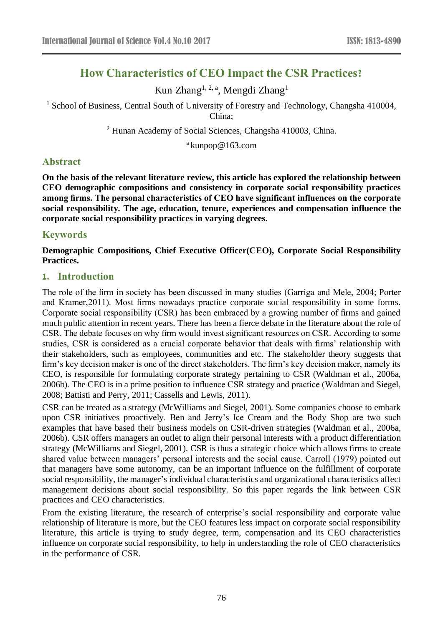# **How Characteristics of CEO Impact the CSR Practices?**

Kun Zhang<sup>1, 2, a</sup>, Mengdi Zhang<sup>1</sup>

<sup>1</sup> School of Business, Central South of University of Forestry and Technology, Changsha 410004, China;

<sup>2</sup> Hunan Academy of Social Sciences, Changsha 410003, China.

a kunpop@163.com

# **Abstract**

**On the basis of the relevant literature review, this article has explored the relationship between CEO demographic compositions and consistency in corporate social responsibility practices among firms. The personal characteristics of CEO have significant influences on the corporate social responsibility. The age, education, tenure, experiences and compensation influence the corporate social responsibility practices in varying degrees.**

# **Keywords**

**Demographic Compositions, Chief Executive Officer(CEO), Corporate Social Responsibility Practices.**

## **1. Introduction**

The role of the firm in society has been discussed in many studies (Garriga and Mele, 2004; Porter and Kramer,2011). Most firms nowadays practice corporate social responsibility in some forms. Corporate social responsibility (CSR) has been embraced by a growing number of firms and gained much public attention in recent years. There has been a fierce debate in the literature about the role of CSR. The debate focuses on why firm would invest significant resources on CSR. According to some studies, CSR is considered as a crucial corporate behavior that deals with firms' relationship with their stakeholders, such as employees, communities and etc. The stakeholder theory suggests that firm's key decision maker is one of the direct stakeholders. The firm's key decision maker, namely its CEO, is responsible for formulating corporate strategy pertaining to CSR (Waldman et al., 2006a, 2006b). The CEO is in a prime position to influence CSR strategy and practice (Waldman and Siegel, 2008; Battisti and Perry, 2011; Cassells and Lewis, 2011).

CSR can be treated as a strategy (McWilliams and Siegel, 2001). Some companies choose to embark upon CSR initiatives proactively. Ben and Jerry's Ice Cream and the Body Shop are two such examples that have based their business models on CSR-driven strategies (Waldman et al., 2006a, 2006b). CSR offers managers an outlet to align their personal interests with a product differentiation strategy (McWilliams and Siegel, 2001). CSR is thus a strategic choice which allows firms to create shared value between managers' personal interests and the social cause. Carroll (1979) pointed out that managers have some autonomy, can be an important influence on the fulfillment of corporate social responsibility, the manager's individual characteristics and organizational characteristics affect management decisions about social responsibility. So this paper regards the link between CSR practices and CEO characteristics.

From the existing literature, the research of enterprise's social responsibility and corporate value relationship of literature is more, but the CEO features less impact on corporate social responsibility literature, this article is trying to study degree, term, compensation and its CEO characteristics influence on corporate social responsibility, to help in understanding the role of CEO characteristics in the performance of CSR.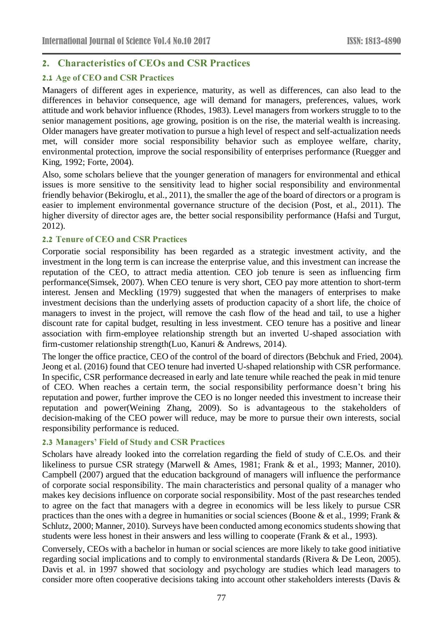# **2. Characteristics of CEOs and CSR Practices**

#### **2.1 Age of CEO and CSR Practices**

Managers of different ages in experience, maturity, as well as differences, can also lead to the differences in behavior consequence, age will demand for managers, preferences, values, work attitude and work behavior influence (Rhodes, 1983). Level managers from workers struggle to to the senior management positions, age growing, position is on the rise, the material wealth is increasing. Older managers have greater motivation to pursue a high level of respect and self-actualization needs met, will consider more social responsibility behavior such as employee welfare, charity, environmental protection, improve the social responsibility of enterprises performance (Ruegger and King, 1992; Forte, 2004).

Also, some scholars believe that the younger generation of managers for environmental and ethical issues is more sensitive to the sensitivity lead to higher social responsibility and environmental friendly behavior (Bekiroglu, et al., 2011), the smaller the age of the board of directors or a program is easier to implement environmental governance structure of the decision (Post, et al., 2011). The higher diversity of director ages are, the better social responsibility performance (Hafsi and Turgut, 2012).

## **2.2 Tenure of CEO and CSR Practices**

Corporatie social responsibility has been regarded as a strategic investment activity, and the investment in the long term is can increase the enterprise value, and this investment can increase the reputation of the CEO, to attract media attention. CEO job tenure is seen as influencing firm performance(Simsek, 2007). When CEO tenure is very short, CEO pay more attention to short-term interest. Jensen and Meckling (1979) suggested that when the managers of enterprises to make investment decisions than the underlying assets of production capacity of a short life, the choice of managers to invest in the project, will remove the cash flow of the head and tail, to use a higher discount rate for capital budget, resulting in less investment. CEO tenure has a positive and linear association with firm-employee relationship strength but an inverted U-shaped association with firm-customer relationship strength(Luo, Kanuri & Andrews, 2014).

The longer the office practice, CEO of the control of the board of directors (Bebchuk and Fried, 2004). Jeong et al. (2016) found that CEO tenure had inverted U-shaped relationship with CSR performance. In specific, CSR performance decreased in early and late tenure while reached the peak in mid tenure of CEO. When reaches a certain term, the social responsibility performance doesn't bring his reputation and power, further improve the CEO is no longer needed this investment to increase their reputation and power(Weining Zhang, 2009). So is advantageous to the stakeholders of decision-making of the CEO power will reduce, may be more to pursue their own interests, social responsibility performance is reduced.

#### **2.3 Managers' Field of Study and CSR Practices**

Scholars have already looked into the correlation regarding the field of study of C.E.Os. and their likeliness to pursue CSR strategy (Marwell & Ames, 1981; Frank & et al., 1993; Manner, 2010). Campbell (2007) argued that the education background of managers will influence the performance of corporate social responsibility. The main characteristics and personal quality of a manager who makes key decisions influence on corporate social responsibility. Most of the past researches tended to agree on the fact that managers with a degree in economics will be less likely to pursue CSR practices than the ones with a degree in humanities or social sciences (Boone & et al., 1999; Frank & Schlutz, 2000; Manner, 2010). Surveys have been conducted among economics students showing that students were less honest in their answers and less willing to cooperate (Frank & et al., 1993).

Conversely, CEOs with a bachelor in human or social sciences are more likely to take good initiative regarding social implications and to comply to environmental standards (Rivera & De Leon, 2005). Davis et al. in 1997 showed that sociology and psychology are studies which lead managers to consider more often cooperative decisions taking into account other stakeholders interests (Davis &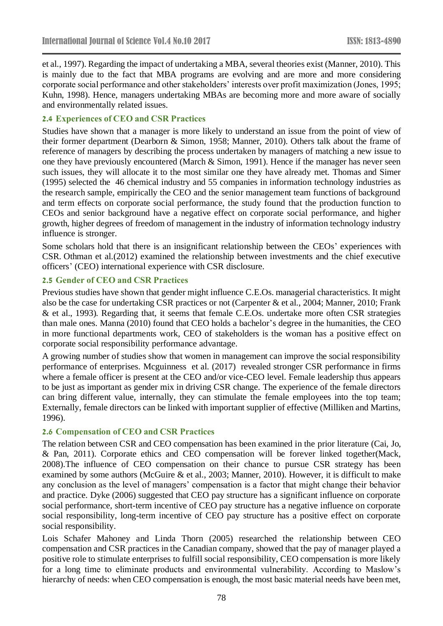et al., 1997). Regarding the impact of undertaking a MBA, several theories exist (Manner, 2010). This is mainly due to the fact that MBA programs are evolving and are more and more considering corporate social performance and other stakeholders' interests over profit maximization (Jones, 1995; Kuhn, 1998). Hence, managers undertaking MBAs are becoming more and more aware of socially and environmentally related issues.

#### **2.4 Experiences of CEO and CSR Practices**

Studies have shown that a manager is more likely to understand an issue from the point of view of their former department (Dearborn & Simon, 1958; Manner, 2010). Others talk about the frame of reference of managers by describing the process undertaken by managers of matching a new issue to one they have previously encountered (March & Simon, 1991). Hence if the manager has never seen such issues, they will allocate it to the most similar one they have already met. Thomas and Simer (1995) selected the 46 chemical industry and 55 companies in information technology industries as the research sample, empirically the CEO and the senior management team functions of background and term effects on corporate social performance, the study found that the production function to CEOs and senior background have a negative effect on corporate social performance, and higher growth, higher degrees of freedom of management in the industry of information technology industry influence is stronger.

Some scholars hold that there is an insignificant relationship between the CEOs' experiences with CSR. Othman et al.(2012) examined the relationship between investments and the chief executive officers' (CEO) international experience with CSR disclosure.

#### **2.5 Gender of CEO and CSR Practices**

Previous studies have shown that gender might influence C.E.Os. managerial characteristics. It might also be the case for undertaking CSR practices or not (Carpenter & et al., 2004; Manner, 2010; Frank & et al., 1993). Regarding that, it seems that female C.E.Os. undertake more often CSR strategies than male ones. Manna (2010) found that CEO holds a bachelor's degree in the humanities, the CEO in more functional departments work, CEO of stakeholders is the woman has a positive effect on corporate social responsibility performance advantage.

A growing number of studies show that women in management can improve the social responsibility performance of enterprises. Mcguinness et al. (2017) revealed stronger CSR performance in firms where a female officer is present at the CEO and/or vice-CEO level. Female leadership thus appears to be just as important as gender mix in driving CSR change. The experience of the female directors can bring different value, internally, they can stimulate the female employees into the top team; Externally, female directors can be linked with important supplier of effective (Milliken and Martins, 1996).

#### **2.6 Compensation of CEO and CSR Practices**

The relation between CSR and CEO compensation has been examined in the prior literature (Cai, Jo, & Pan, 2011). Corporate ethics and CEO compensation will be forever linked together(Mack, 2008).The influence of CEO compensation on their chance to pursue CSR strategy has been examined by some authors (McGuire & et al., 2003; Manner, 2010). However, it is difficult to make any conclusion as the level of managers' compensation is a factor that might change their behavior and practice. Dyke (2006) suggested that CEO pay structure has a significant influence on corporate social performance, short-term incentive of CEO pay structure has a negative influence on corporate social responsibility, long-term incentive of CEO pay structure has a positive effect on corporate social responsibility.

Lois Schafer Mahoney and Linda Thorn (2005) researched the relationship between CEO compensation and CSR practices in the Canadian company, showed that the pay of manager played a positive role to stimulate enterprises to fulfill social responsibility, CEO compensation is more likely for a long time to eliminate products and environmental vulnerability. According to Maslow's hierarchy of needs: when CEO compensation is enough, the most basic material needs have been met,